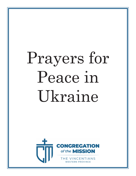# Prayers for Peace in Ukraine



THE VINCENTIANS **WESTERN PROVINCE**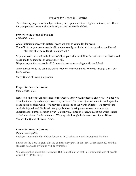# **Prayers for Peace in Ukraine**

The following prayers, written by confreres, the popes, and other religious believers, are offered for your personal use as well as ministry among the People of God.

## **Prayer for the People of Ukraine**

*Tom Hinni, C.M.* 

God of infinite mercy, with grateful hearts we pray to you today for peace.

You offer to us your peace continually and constantly remind us that peacemakers are blessed "for they shall be called children of God."

May your voice resound in the hearts of all, as you call us to follow the path of reconciliation and peace and to be merciful as you are merciful.

We pray to you for the people of Ukraine who are experiencing conflict and death.

Grant eternal rest to the dead and quick recovery to the wounded. We pray through Christ our Lord. Amen.

Mary, Queen of Peace, pray for us!

#### **Prayer for Peace in Ukraine**

*Paul Golden, C.M.* 

Jesus, you said to the Apostles and to us: "Peace I leave you, my peace I give you." We beg you to look with mercy and compassion on us, the sons of St. Vincent, as we stand in need again for peace in our troubled world. We pray for a quick end to the war in Ukraine. We pray for the dead, the injured, and displaced. We pray for those bearing arms who may or may not understand the purpose of such a war. We ask you, Prince of Peace, to assist our world leaders to find a resolution for this violence. We pray this through the intercession of your Blessed Mother, the Queen of Peace. Amen.

# **Prayer for Peace in Ukraine**

*Pope Francis (2022)* 

I ask you to pray the Our Father for peace in Ukraine, now and throughout this Day.

Let us ask the Lord to grant that the country may grow in the spirit of brotherhood, and that all hurts, fears and divisions will be overcome.

We have spoken about the Holocaust. But let us think too that in Ukraine millions of people were killed [1932-1933].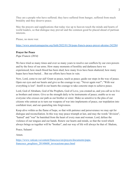They are a people who have suffered; they have suffered from hunger, suffered from much brutality and they deserve peace.

May the prayers and supplications that today rise up to heaven touch the minds and hearts of world leaders, so that dialogue may prevail and the common good be placed ahead of partisan interests.

Please, no more war.

<https://www.americamagazine.org/faith/2022/01/26/pope-francis-peace-prayer-ukraine-242284>

# **Prayer for Peace**

*Pope Francis (2014)* 

We have tried so many times and over so many years to resolve our conflicts by our own powers and by the force of our arms. How many moments of hostility and darkness have we experienced; how much blood has been shed; how many lives have been shattered; how many hopes have been buried… But our efforts have been in vain.

Now, Lord, come to our aid! Grant us peace, teach us peace; guide our steps in the way of peace. Open our eyes and our hearts and give us the courage to say: "Never again war!"; "With war everything is lost". Instill in our hearts the courage to take concrete steps to achieve peace.

Lord, God of Abraham, God of the Prophets, God of Love, you created us, and you call us to live as brothers and sisters. Give us the strength daily to be instruments of peace; enable us to see everyone who crosses our path as our brother or sister. Make us sensitive to the plea of our citizens who entreat us to turn our weapons of war into implements of peace, our trepidation into confident trust, and our quarreling into forgiveness.

Keep alive within us the flame of hope, so that with patience and perseverance we may opt for dialogue and reconciliation. In this way may peace triumph at last, and may the words "division", "hatred" and "war" be banished from the heart of every man and woman. Lord, defuse the violence of our tongues and our hands. Renew our hearts and minds, so that the word which always brings us together will be "brother", and our way of life will always be that of: Shalom,

Peace, Salaam!

Amen.

[https://www.vatican.va/content/francesco/en/prayers/documents/papa](https://www.vatican.va/content/francesco/en/prayers/documents/papa-francesco_preghiere_20140608_invocazione-pace.html)[francesco\\_preghiere\\_20140608\\_invocazione-pace.html](https://www.vatican.va/content/francesco/en/prayers/documents/papa-francesco_preghiere_20140608_invocazione-pace.html)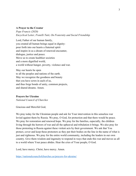#### **A Prayer to the Creator**

*Pope Francis (2020) Encyclical Letter, Fratelli Tutii, On Fraternity and Social Friendship* 

Lord, Father of our human family, you created all human beings equal in dignity: pour forth into our hearts a fraternal spirit and inspire in us a dream of renewed encounter, dialogue, justice and peace. Move us to create healthier societies and a more dignified world, a world without hunger, poverty, violence and war.

May our hearts be open to all the peoples and nations of the earth. May we recognize the goodness and beauty that you have sown in each of us, and thus forge bonds of unity, common projects, and shared dreams. Amen.

## **Prayers for Ukraine**

*National Council of Churches* 

Gracious and Merciful God,

We pray today for the Ukrainian people and ask for Your intervention in this senseless war levied against them by Russia. We pray, O God, for protection and that there would be peace. We pray for restoration and renewed hope. We pray for the families, especially, the children living through the horrors of war and all the upheaval and tribulation it brings. We also pray for those protesting in Russia against these violent acts by their government. We ask that You protect, cover and keep these protesters as they put their bodies on the line in the name of what is just and righteous. We pray for the entire world community, including the leaders in our own country. Give them wisdom and ingenuity to respond in ways that ends this war and moves us all to a world where Your peace abides. Hear the cries of Your people, O God.

Lord, have mercy. Christ, have mercy. Amen.

<https://nationalcouncilofchurches.us/prayers-for-ukraine/>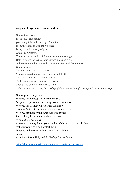# **Anglican Prayers for Ukraine and Peace**

God of timelessness, From chaos and disorder you brought forth the beauty of creation; From the chaos of war and violence Bring forth the beauty of peace. God of compassion You saw the humanity of the outcast and the stranger; Help us to see the evils of our hatreds and suspicions and to turn them into the embrace of your Beloved Community. God of peace, Through your love on the cross You overcame the power of violence and death; Turn us away from the love of power That we may transform a warring world through the power of your love. Amen. *– The Rt. Rev Mark Edington, Bishop of the Convocation of Episcopal Churches in Europe*

God of peace and justice, We pray for the people of Ukraine today. We pray for peace and the laying down of weapons. We pray for all those who fear for tomorrow, that your Spirit of comfort would draw near to them. We pray for those with power over war or peace, for wisdom, discernment, and compassion to guide their decisions. Above all, we pray for all your precious children, at risk and in fear, that you would hold and protect them. We pray in the name of Jeus, the Prince of Peace. Amen. *Archbishop Justin Welby and Archbishop Stephen Cottrell* 

<https://dioceseofnewark.org/content/prayers-ukraine-and-peace>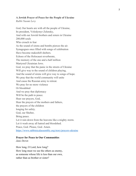#### **A Jewish Prayer of Peace for the People of Ukraine**

*Rabbi Naomi Levy*

God, Our hearts are with all the people of Ukraine, Its president, Volodymyr Zelensky, And with our Jewish brothers and sisters in Ukraine 200,000 souls Who crouch in fear As the sound of sirens and bombs pierces the air. Synagogues once filled with songs of celebration Have become makeshift shelters. Echoes of the Holocaust reverberate, The memory of the one and a half million Martyred Ukrainian Jews. God, we pray that the panic in the streets of Ukraine Will give way to the sound of children playing, And the sound of sirens will give way to songs of hope. We pray that the world community will unite And cause the Russian army to retreat. We pray for no more violence Or bloodshed And we pray that diplomacy Will be the path to peace. Hear our prayers, God, Hear the prayers of the mothers and fathers, the prayers of the children longing for safety. God, our Shelter, Bring peace. Let it rain down from the heavens like a mighty storm. Let it wash away all hatred and bloodshed. Peace, God. Please, God. Amen. <https://www.rabbinicalassembly.org/story/prayers-ukraine>

#### **Prayer for Peace in Our Communities**

*Jane Deren*

How long, O Lord, how long? How long must we see the others as enemy, as someone whose life is less than our own, rather than as brother or sister?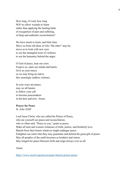How long, O Lord, how long Will we allow wounds to fester rather than applying the healing balm of recognition of pain and suffering, of deep and authentic reconciliation?

We have much to learn, and little time. Move us from old ideas of who "the other" may be, move us to look with new eyes to see the entangled roots of violence, to see the humanity behind the anger.

O God of peace, hear our cries. Forgive us, open our minds and hearts. Give us your mercy so we may bring an end to this seemingly endless violence.

In your ways are peace; may we all hasten to follow your call to become peacemakers in the here and now. Amen.

#### **Prayer for Peace**

*St. John XXIII* 

Lord Jesus Christ, who are called the Prince of Peace, who are yourself our peace and reconciliation, who so often said, "Peace to you," grant us peace. Make all men and women witnesses of truth, justice, and brotherly love. Banish from their hearts whatever might endanger peace. Enlighten our rulers that they may guarantee and defend the great gift of peace. May all peoples of the earth becomes as brothers and sisters. May longed-for peace blossom forth and reign always over us all.

Amen.

<https://www.usccb.org/prayers/pope-francis-prayer-peace>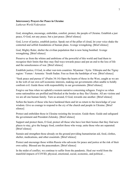# **Intercessory Prayers for Peace in Ukraine**

*Lutheran World Federation*

God, strengthen, encourage, embolden, comfort, protect, the people of Ukraine. Establish a just peace, O God, not any peace, but a just peace. [Brief silence]

God, Lover of justice, establish justice. Speak out of the pillar of cloud, let your voice shake the contorted and selfish foundations of human plans. Avenge wrongdoing. [Brief silence]

God, Mighty Ruler, shelter the civilian population that is now being bombed. Avenge wrongdoing. [Brief silence]

Preserve us from the whims and ambitions of the powerful of this world and lead them to recognize their limits that they may find ways towards peace and put an end to the loss of life and the senselessness of war. [Brief silence]

Establish justice, O God, in other war-torn countries: Myanmar / Syria / Ethiopia and the Tigray region / Yemen / Armenia / South Sudan. Free us from the hardships of war. [Brief silence]

"Seek peace and pursue it" (Psalm 34:14) Open the hearts of those in the West, caught as we are in the web of our own self economic interests, making our governments often unable to boldly confront evil. Guide those with responsibility in our governments. [Brief silence]

Forgive our bias when we uphold a western narrative concerning refugees. Forgive us when some nationalities are profiled and blocked at the border as they flee Ukraine. All are victims and we are all one human family. Turn us around, O God, towards one another. [Brief silence]

Soften the hearts of those who have hardened them and let us return to the knowledge of your wisdom. Give us courage to respond to the cry of the church and people in Ukraine. [Brief silence]

Protect and embolden those in Ukraine resisting the invasion. Guide them. Guide and safeguard the government and President Zelensky. [Brief silence]

Support and protect them, O God, protect all those who have lost their homes that they find new places to stay, give the hungry food, comfort those who weep, unite those who are separated. [Brief silence]

Sustain and strengthen those already on the ground providing humanitarian aid, food, clothes, shelter, medications, and other essentials. [Brief silence]

Protect and encourage those within Russia who advocate for peace and justice at the risk of their own safety. Blessed are the peacemakers. [Brief silence]

In the midst of conflict, we continue to suffer from the pandemic. Heal our world from the manifold impacts of COVID, physical, emotional, social, economic, and political…